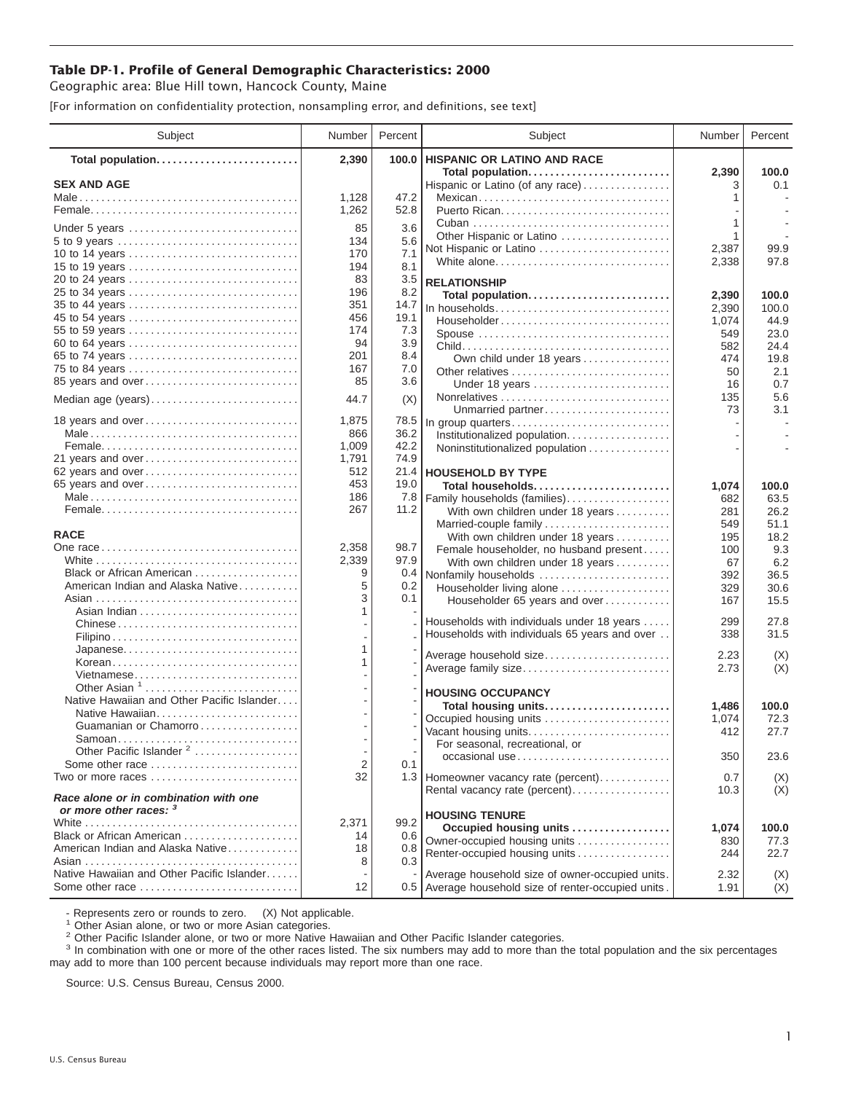## **Table DP-1. Profile of General Demographic Characteristics: 2000**

Geographic area: Blue Hill town, Hancock County, Maine

[For information on confidentiality protection, nonsampling error, and definitions, see text]

| Subject                                    | Number                   | Percent     | Subject                                                   | Number     | Percent      |
|--------------------------------------------|--------------------------|-------------|-----------------------------------------------------------|------------|--------------|
| Total population                           | 2,390                    | 100.0       | <b>HISPANIC OR LATINO AND RACE</b>                        |            |              |
| <b>SEX AND AGE</b>                         |                          |             | Total population<br>Hispanic or Latino (of any race)      | 2,390<br>3 | 100.0<br>0.1 |
|                                            | 1,128                    | 47.2        | Mexican                                                   | 1          |              |
|                                            | 1,262                    | 52.8        |                                                           |            |              |
|                                            | 85                       | 3.6         |                                                           | 1          |              |
| Under 5 years                              | 134                      | 5.6         | Other Hispanic or Latino                                  | 1          |              |
| 10 to 14 years                             | 170                      | 7.1         | Not Hispanic or Latino                                    | 2,387      | 99.9         |
| 15 to 19 years                             | 194                      | 8.1         | White alone                                               | 2,338      | 97.8         |
| 20 to 24 years                             | 83                       | 3.5         | <b>RELATIONSHIP</b>                                       |            |              |
| 25 to 34 years                             | 196                      | 8.2         | Total population                                          | 2,390      | 100.0        |
|                                            | 351                      | 14.7        | In households                                             | 2,390      | 100.0        |
| 45 to 54 years                             | 456                      | 19.1        | Householder                                               | 1,074      | 44.9         |
| 55 to 59 years                             | 174                      | 7.3         | Spouse                                                    | 549        | 23.0         |
| 60 to 64 years                             | 94                       | 3.9         |                                                           | 582        | 24.4         |
| 65 to 74 years                             | 201<br>167               | 8.4<br>7.0  | Own child under 18 years                                  | 474        | 19.8         |
| 75 to 84 years<br>85 years and over        | 85                       | 3.6         | Other relatives                                           | 50         | 2.1          |
|                                            |                          |             | Under 18 years                                            | 16<br>135  | 0.7<br>5.6   |
| Median age (years)                         | 44.7                     | (X)         | Unmarried partner                                         | 73         | 3.1          |
| 18 years and over                          | 1,875                    | 78.5        | In group quarters                                         |            |              |
|                                            | 866                      | 36.2        | Institutionalized population                              |            |              |
|                                            | 1,009                    | 42.2        | Noninstitutionalized population                           |            |              |
| 21 years and over                          | 1,791                    | 74.9        |                                                           |            |              |
| 62 years and over                          | 512                      | 21.4        | <b>HOUSEHOLD BY TYPE</b>                                  |            |              |
| 65 years and over                          | 453                      | 19.0        | Total households                                          | 1,074      | 100.0        |
|                                            | 186<br>267               | 7.8<br>11.2 | Family households (families)                              | 682        | 63.5         |
|                                            |                          |             | With own children under 18 years                          | 281<br>549 | 26.2<br>51.1 |
| <b>RACE</b>                                |                          |             | Married-couple family<br>With own children under 18 years | 195        | 18.2         |
|                                            | 2,358                    | 98.7        | Female householder, no husband present                    | 100        | 9.3          |
|                                            | 2,339                    | 97.9        | With own children under 18 years                          | 67         | 6.2          |
| Black or African American                  | 9                        | 0.4         | Nonfamily households                                      | 392        | 36.5         |
| American Indian and Alaska Native          | 5                        | 0.2         | Householder living alone                                  | 329        | 30.6         |
|                                            | 3                        | 0.1         | Householder 65 years and over                             | 167        | 15.5         |
|                                            | 1                        |             | Households with individuals under 18 years                | 299        | 27.8         |
| Chinese                                    |                          |             | Households with individuals 65 years and over             | 338        | 31.5         |
| Japanese                                   | 1                        |             |                                                           |            |              |
| Korean                                     | 1                        |             | Average household size                                    | 2.23       | (X)          |
| Vietnamese                                 |                          |             | Average family size                                       | 2.73       | (X)          |
| Other Asian <sup>1</sup>                   |                          |             | <b>HOUSING OCCUPANCY</b>                                  |            |              |
| Native Hawaiian and Other Pacific Islander |                          |             | Total housing units                                       | 1,486      | 100.0        |
| Native Hawaiian                            |                          |             | Occupied housing units                                    | 1,074      | 72.3         |
| Guamanian or Chamorro                      |                          |             | Vacant housing units                                      | 412        | 27.7         |
| Other Pacific Islander <sup>2</sup>        | $\overline{\phantom{a}}$ |             | For seasonal, recreational, or                            |            |              |
| Some other race                            | 2                        | 0.1         | occasional use                                            | 350        | 23.6         |
| Two or more races                          | 32                       |             | 1.3 Homeowner vacancy rate (percent)                      | 0.7        | (X)          |
|                                            |                          |             | Rental vacancy rate (percent)                             | 10.3       | (X)          |
| Race alone or in combination with one      |                          |             |                                                           |            |              |
| or more other races: 3                     | 2,371                    | 99.2        | <b>HOUSING TENURE</b>                                     |            |              |
| Black or African American                  | 14                       | 0.6         | Occupied housing units                                    | 1,074      | 100.0        |
| American Indian and Alaska Native          | 18                       | 0.8         | Owner-occupied housing units                              | 830        | 77.3         |
|                                            | 8                        | 0.3         | Renter-occupied housing units                             | 244        | 22.7         |
| Native Hawaiian and Other Pacific Islander |                          |             | Average household size of owner-occupied units.           | 2.32       | (X)          |
| Some other race                            | 12                       |             | 0.5 Average household size of renter-occupied units.      | 1.91       | (X)          |

- Represents zero or rounds to zero. (X) Not applicable.<br><sup>1</sup> Other Asian alone, or two or more Asian categories.

<sup>2</sup> Other Pacific Islander alone, or two or more Native Hawaiian and Other Pacific Islander categories.<br><sup>3</sup> In combination with one or more of the other races listed. The six numbers may add to more than the total populati may add to more than 100 percent because individuals may report more than one race.

Source: U.S. Census Bureau, Census 2000.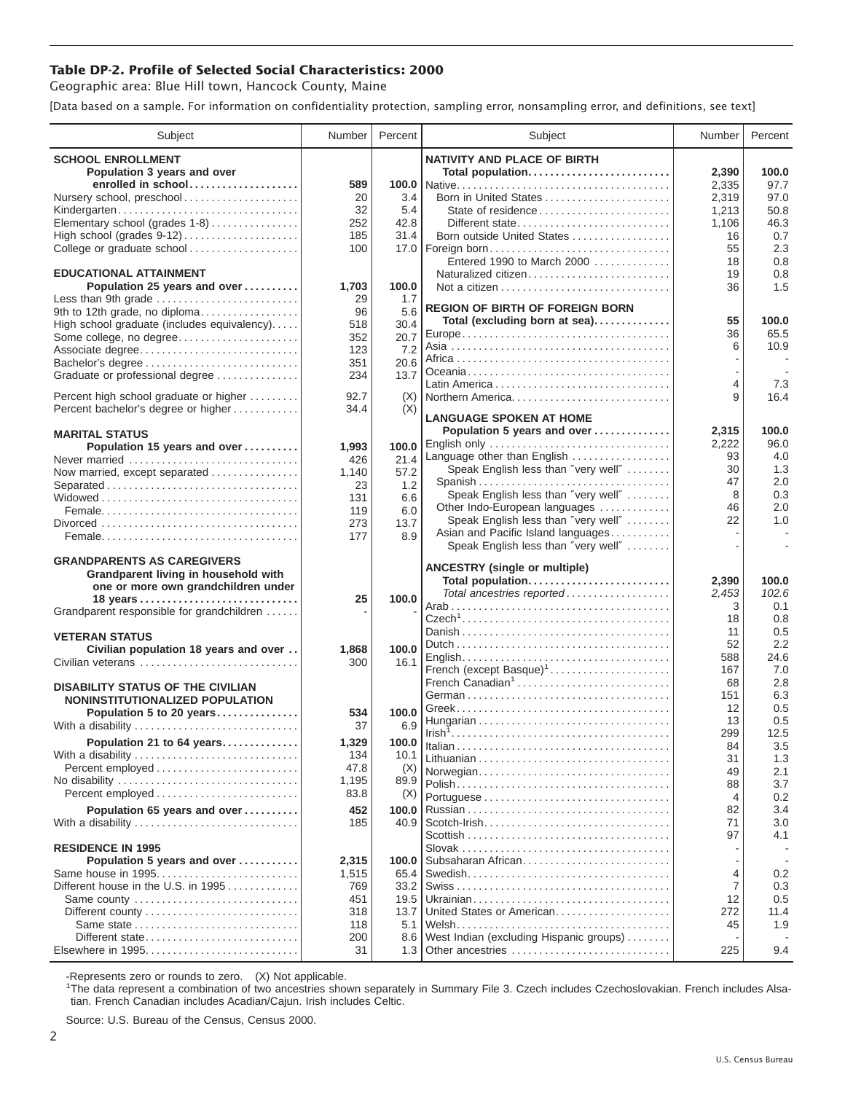## **Table DP-2. Profile of Selected Social Characteristics: 2000**

Geographic area: Blue Hill town, Hancock County, Maine

[Data based on a sample. For information on confidentiality protection, sampling error, nonsampling error, and definitions, see text]

| Subject                                                   | Number     | Percent      | Subject                                                              | Number    | Percent    |
|-----------------------------------------------------------|------------|--------------|----------------------------------------------------------------------|-----------|------------|
| <b>SCHOOL ENROLLMENT</b>                                  |            |              | <b>NATIVITY AND PLACE OF BIRTH</b>                                   |           |            |
| Population 3 years and over                               |            |              | Total population                                                     | 2,390     | 100.0      |
| enrolled in school                                        | 589        |              |                                                                      | 2,335     | 97.7       |
| Nursery school, preschool                                 | 20         | 3.4          | Born in United States                                                | 2,319     | 97.0       |
| Kindergarten                                              | 32         | 5.4          | State of residence                                                   | 1,213     | 50.8       |
| Elementary school (grades 1-8)                            | 252<br>185 | 42.8<br>31.4 | Different state                                                      | 1,106     | 46.3       |
| College or graduate school                                | 100        |              | Born outside United States<br>17.0   Foreign born                    | 16<br>55  | 0.7<br>2.3 |
|                                                           |            |              | Entered 1990 to March 2000                                           | 18        | 0.8        |
| <b>EDUCATIONAL ATTAINMENT</b>                             |            |              | Naturalized citizen                                                  | 19        | 0.8        |
| Population 25 years and over                              | 1,703      | 100.0        |                                                                      | 36        | 1.5        |
| Less than 9th grade                                       | 29         | 1.7          | <b>REGION OF BIRTH OF FOREIGN BORN</b>                               |           |            |
| 9th to 12th grade, no diploma                             | 96         | 5.6          | Total (excluding born at sea)                                        | 55        | 100.0      |
| High school graduate (includes equivalency)               | 518        | 30.4         |                                                                      | 36        | 65.5       |
| Some college, no degree<br>Associate degree               | 352<br>123 | 20.7<br>7.2  |                                                                      | 6         | 10.9       |
| Bachelor's degree                                         | 351        | 20.6         |                                                                      |           |            |
| Graduate or professional degree                           | 234        | 13.7         |                                                                      |           |            |
|                                                           |            |              |                                                                      | 4         | 7.3        |
| Percent high school graduate or higher                    | 92.7       | (X)          | Northern America                                                     | 9         | 16.4       |
| Percent bachelor's degree or higher                       | 34.4       | (X)          | <b>LANGUAGE SPOKEN AT HOME</b>                                       |           |            |
| <b>MARITAL STATUS</b>                                     |            |              | Population 5 years and over                                          | 2,315     | 100.0      |
| Population 15 years and over                              | 1,993      | 100.0        | English only                                                         | 2,222     | 96.0       |
| Never married                                             | 426        | 21.4         | Language other than English                                          | 93        | 4.0        |
| Now married, except separated                             | 1,140      | 57.2         | Speak English less than "very well"                                  | 30        | 1.3        |
| Separated                                                 | 23         | 1.2          | Spanish                                                              | 47        | 2.0<br>0.3 |
|                                                           | 131        | 6.6          | Speak English less than "very well"<br>Other Indo-European languages | 8<br>46   | 2.0        |
|                                                           | 119        | 6.0          | Speak English less than "very well"                                  | 22        | 1.0        |
|                                                           | 273<br>177 | 13.7<br>8.9  | Asian and Pacific Island languages                                   |           |            |
|                                                           |            |              | Speak English less than "very well"                                  |           |            |
| <b>GRANDPARENTS AS CAREGIVERS</b>                         |            |              |                                                                      |           |            |
| Grandparent living in household with                      |            |              | <b>ANCESTRY (single or multiple)</b><br>Total population             | 2,390     | 100.0      |
| one or more own grandchildren under                       |            |              | Total ancestries reported                                            | 2,453     | 102.6      |
| 18 years                                                  | 25         | 100.0        |                                                                      | 3         | 0.1        |
| Grandparent responsible for grandchildren                 |            |              |                                                                      | 18        | 0.8        |
| <b>VETERAN STATUS</b>                                     |            |              |                                                                      | 11        | 0.5        |
| Civilian population 18 years and over                     | 1,868      | 100.0        |                                                                      | 52        | 2.2        |
| Civilian veterans                                         | 300        | 16.1         |                                                                      | 588       | 24.6       |
|                                                           |            |              | French (except Basque) <sup>1</sup><br>French Canadian <sup>1</sup>  | 167<br>68 | 7.0<br>2.8 |
| <b>DISABILITY STATUS OF THE CIVILIAN</b>                  |            |              |                                                                      | 151       | 6.3        |
| NONINSTITUTIONALIZED POPULATION                           | 534        | 100.0        |                                                                      | 12        | 0.5        |
| Population 5 to 20 years<br>With a disability             | 37         | 6.9          |                                                                      | 13        | 0.5        |
| Population 21 to 64 years                                 | 1,329      | 100.0        |                                                                      | 299       | 12.5       |
| With a disability                                         | 134        | 10.1         |                                                                      | 84        | 3.5        |
|                                                           | 47.8       | (X)          |                                                                      | 31        | 1.3        |
|                                                           | 1,195      | 89.9         | Norwegian                                                            | 49<br>88  | 2.1<br>3.7 |
| Percent employed                                          | 83.8       | (X)          |                                                                      | 4         | 0.2        |
| Population 65 years and over                              | 452        | 100.0        |                                                                      | 82        | 3.4        |
| With a disability                                         | 185        | 40.9         |                                                                      | 71        | 3.0        |
|                                                           |            |              |                                                                      | 97        | 4.1        |
| <b>RESIDENCE IN 1995</b>                                  |            |              |                                                                      |           |            |
| Population 5 years and over                               | 2,315      | 100.0        | Subsaharan African                                                   |           |            |
| Same house in 1995<br>Different house in the U.S. in 1995 | 1,515      | 65.4<br>33.2 |                                                                      | 4<br>7    | 0.2<br>0.3 |
| Same county                                               | 769<br>451 | 19.5         |                                                                      | 12        | 0.5        |
|                                                           | 318        | 13.7         | United States or American                                            | 272       | 11.4       |
|                                                           | 118        | 5.1          |                                                                      | 45        | 1.9        |
| Different state                                           | 200        | 8.6          | West Indian (excluding Hispanic groups)                              |           |            |
|                                                           | 31         | $1.3 \mid$   | Other ancestries                                                     | 225       | 9.4        |

-Represents zero or rounds to zero. (X) Not applicable. 1 The data represent a combination of two ancestries shown separately in Summary File 3. Czech includes Czechoslovakian. French includes Alsatian. French Canadian includes Acadian/Cajun. Irish includes Celtic.

Source: U.S. Bureau of the Census, Census 2000.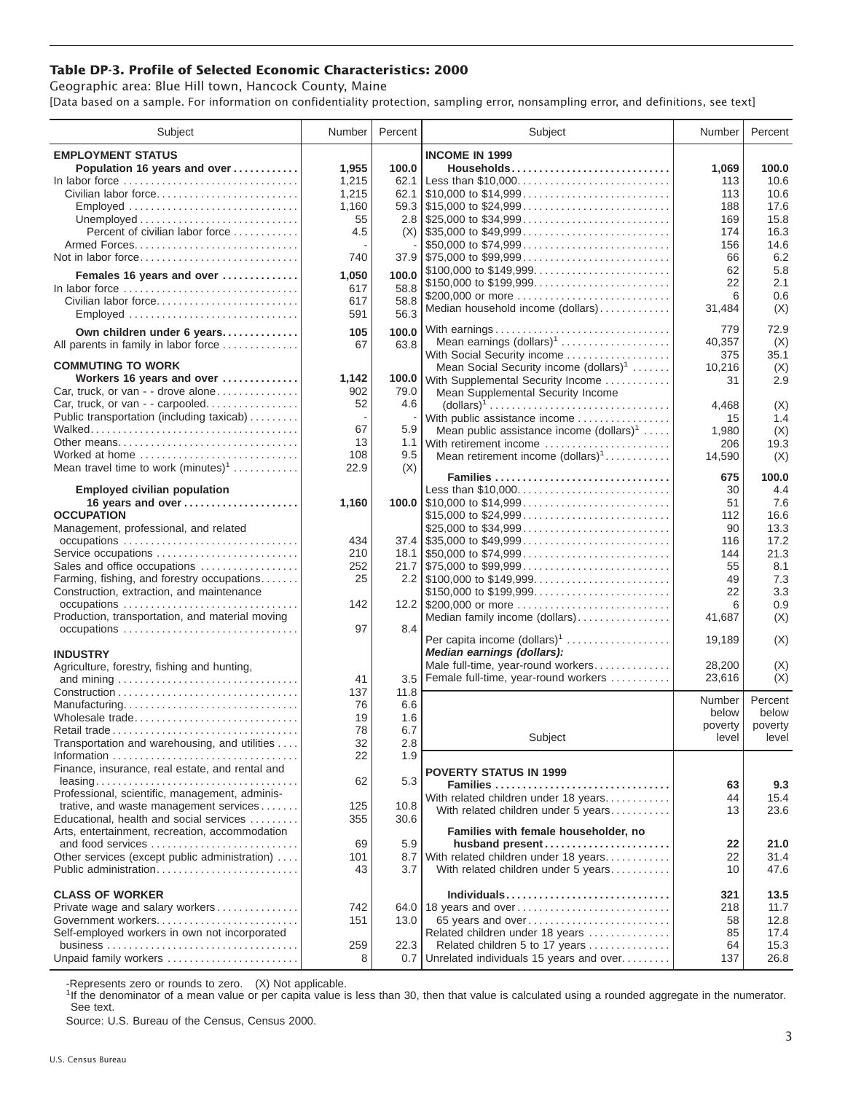## **Table DP-3. Profile of Selected Economic Characteristics: 2000**

Geographic area: Blue Hill town, Hancock County, Maine [Data based on a sample. For information on confidentiality protection, sampling error, nonsampling error, and definitions, see text]

| Subject                                         | Number | Percent | Subject                                                                                | Number        | Percent    |
|-------------------------------------------------|--------|---------|----------------------------------------------------------------------------------------|---------------|------------|
| <b>EMPLOYMENT STATUS</b>                        |        |         | <b>INCOME IN 1999</b>                                                                  |               |            |
| Population 16 years and over                    | 1,955  | 100.0   | Households                                                                             | 1,069         | 100.0      |
| In labor force                                  | 1,215  | 62.1    | Less than \$10,000                                                                     | 113           | 10.6       |
| Civilian labor force                            | 1,215  |         |                                                                                        | 113           | 10.6       |
| Employed                                        | 1,160  |         |                                                                                        | 188           | 17.6       |
|                                                 | 55     |         |                                                                                        | 169           | 15.8       |
| Percent of civilian labor force                 | 4.5    |         | $(X)$ \\ \$35,000 to \$49,999                                                          | 174           | 16.3       |
|                                                 |        |         | \$50,000 to \$74,999                                                                   | 156           | 14.6       |
| Not in labor force                              | 740    |         | $37.9$ \\$75,000 to \$99,999                                                           | 66            | 6.2        |
| Females 16 years and over                       | 1,050  | 100.0   | \$100,000 to \$149,999                                                                 | 62            | 5.8        |
| In labor force                                  | 617    | 58.8    | \$150,000 to \$199,999                                                                 | 22            | 2.1        |
| Civilian labor force                            | 617    | 58.8    | \$200,000 or more                                                                      | 6             | 0.6        |
| Employed                                        | 591    | 56.3    | Median household income (dollars)                                                      | 31,484        | (X)        |
|                                                 |        |         |                                                                                        |               |            |
| Own children under 6 years                      | 105    | 100.0   | With earnings                                                                          | 779           | 72.9       |
| All parents in family in labor force            | 67     | 63.8    | Mean earnings (dollars) <sup>1</sup>                                                   | 40,357        | (X)        |
| <b>COMMUTING TO WORK</b>                        |        |         | With Social Security income<br>Mean Social Security income $(dollars)1$                | 375<br>10,216 | 35.1       |
| Workers 16 years and over                       | 1,142  | 100.0   | With Supplemental Security Income                                                      | 31            | (X)<br>2.9 |
| Car, truck, or van - - drove alone              | 902    | 79.0    | Mean Supplemental Security Income                                                      |               |            |
| Car, truck, or van - - carpooled                | 52     | 4.6     | $\text{(dollars)}^1 \dots \dots \dots \dots \dots \dots \dots \dots \dots \dots \dots$ | 4,468         | (X)        |
| Public transportation (including taxicab)       |        |         | With public assistance income                                                          | 15            | 1.4        |
|                                                 | 67     | 5.9     | Mean public assistance income $(dollars)1 \ldots$ .                                    | 1,980         | (X)        |
| Other means                                     | 13     |         | 1.1 With retirement income                                                             | 206           | 19.3       |
| Worked at home                                  | 108    | 9.5     | Mean retirement income $(dollars)1$                                                    | 14,590        | (X)        |
| Mean travel time to work $(minutes)^1$          | 22.9   | (X)     |                                                                                        |               |            |
|                                                 |        |         | Families                                                                               | 675           | 100.0      |
| <b>Employed civilian population</b>             |        |         | Less than \$10,000                                                                     | 30            | 4.4        |
| 16 years and over                               | 1,160  |         |                                                                                        | 51            | 7.6        |
| <b>OCCUPATION</b>                               |        |         | \$15,000 to \$24,999                                                                   | 112           | 16.6       |
| Management, professional, and related           |        |         | \$25,000 to \$34,999                                                                   | 90            | 13.3       |
| occupations                                     | 434    |         |                                                                                        | 116           | 17.2       |
| Service occupations                             | 210    |         |                                                                                        | 144           | 21.3       |
| Sales and office occupations                    | 252    |         |                                                                                        | 55            | 8.1        |
| Farming, fishing, and forestry occupations      | 25     |         |                                                                                        | 49            | 7.3        |
| Construction, extraction, and maintenance       |        |         | \$150,000 to \$199,999                                                                 | 22            | 3.3        |
| occupations                                     | 142    |         | 12.2 \$200,000 or more                                                                 | 6             | 0.9        |
| Production, transportation, and material moving |        |         | Median family income (dollars)                                                         | 41,687        | (X)        |
| occupations                                     | 97     | 8.4     | Per capita income $(dollars)^1$                                                        |               |            |
|                                                 |        |         | Median earnings (dollars):                                                             | 19,189        | (X)        |
| <b>INDUSTRY</b>                                 |        |         | Male full-time, year-round workers                                                     | 28,200        | (X)        |
| Agriculture, forestry, fishing and hunting,     | 41     | 3.5     | Female full-time, year-round workers                                                   | 23,616        | (X)        |
|                                                 | 137    | 11.8    |                                                                                        |               |            |
| Manufacturing                                   | 76     | 6.6     |                                                                                        | Number        | Percent    |
| Wholesale trade                                 | 19     | 1.6     |                                                                                        | below         | below      |
|                                                 | 78     | 6.7     |                                                                                        | poverty       | poverty    |
| Transportation and warehousing, and utilities   | 32     | 2.8     | Subject                                                                                | level         | level      |
|                                                 | 22     | 1.9     |                                                                                        |               |            |
| Finance, insurance, real estate, and rental and |        |         |                                                                                        |               |            |
|                                                 | 62     | 5.3     | <b>POVERTY STATUS IN 1999</b>                                                          |               |            |
| Professional, scientific, management, adminis-  |        |         | Families                                                                               | 63            | 9.3        |
| trative, and waste management services          | 125    | 10.8    | With related children under 18 years                                                   | 44            | 15.4       |
| Educational, health and social services         | 355    | 30.6    | With related children under 5 years                                                    | 13            | 23.6       |
| Arts, entertainment, recreation, accommodation  |        |         | Families with female householder, no                                                   |               |            |
| and food services                               | 69     | 5.9     | husband present                                                                        | 22            | 21.0       |
| Other services (except public administration)   | 101    | 8.7     | With related children under 18 years                                                   | 22            | 31.4       |
| Public administration                           | 43     | 3.7     | With related children under 5 years                                                    | 10            | 47.6       |
|                                                 |        |         |                                                                                        |               |            |
| <b>CLASS OF WORKER</b>                          |        |         |                                                                                        | 321           | 13.5       |
| Private wage and salary workers                 | 742    |         | 64.0 18 years and over                                                                 | 218           | 11.7       |
| Government workers                              | 151    | 13.0    | 65 years and over                                                                      | 58            | 12.8       |
| Self-employed workers in own not incorporated   |        |         | Related children under 18 years                                                        | 85            | 17.4       |
|                                                 | 259    | 22.3    | Related children 5 to 17 years                                                         | 64            | 15.3       |
| Unpaid family workers                           | 8      | 0.7     | Unrelated individuals 15 years and over                                                | 137           | 26.8       |

-Represents zero or rounds to zero. (X) Not applicable.

<sup>1</sup>If the denominator of a mean value or per capita value is less than 30, then that value is calculated using a rounded aggregate in the numerator. See text.

Source: U.S. Bureau of the Census, Census 2000.